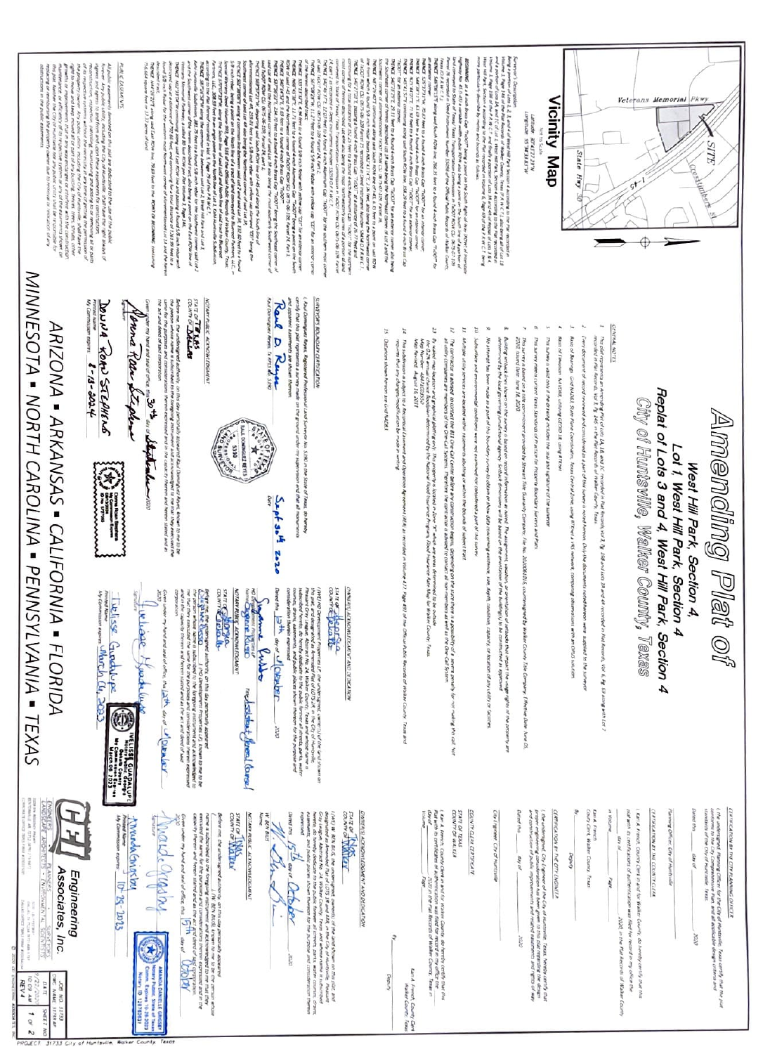

| of 1, West Hill Park, Section<br>Vest i<br>Hill<br>Ź<br>Park. S<br>Sec. | Ĕ<br>ö |
|-------------------------------------------------------------------------|--------|
|                                                                         |        |

Replat of Lots 3 and 4, West Hill Park, Section 4 City of Huntsville, Walker County, Texas

GARMA NOTES

- The plat represents an American Plat of Lots 1A, 1M, add 1C. Incondert in Rail Response (a) 2, fg. 150 and Le<br>meaning in Plat Recents, USI, 1 fg. 145 in the Plat Aectivits of Waller Courty, Teast. ded in Plat Records, VDK & Pg. 69 anong with Let 2
- Fren docu Diff (Military Pallaki 30 Zin librind as a part of this summy is noted himmer. Only the dipresent to the more to
- Aud of Rearing God MUSL State Plane Constituting Teach Chrona Tane, asing RTDark a VIS network, compared not observations with an OPO solution
- Basi of Finances AFRORE, colorgi GEOD 18, sang FTDer
- where it was the property of the first property of the contract of the state of the state
- Pat servey meets current Texas Standards of Purities for Property Bloodlary Surveys and Plat
- Disk samely disk (see M. 2020)<br>The same of the control of a state **CONTRACTOR** First Gueranty Company, File No. 20203 ă we Dele June 03
- שונועיינים (CAS) ולא המשפט הוא המערכמים שמים, "Conted או שייטופים או לא מחום היו לא מיוחד אותו של השלוש או לה<br>האונטר היואלו האיז היא דל הייטוף האונטר היו חלושל המשיטומים זו המאר את האונטר ואבטיינית שישיטומים של החומרים ה or was proper above any
- No attente ha beer made as a part of the boundary surey to obtain at show deta concerning excerning, such that is a second of the solid of the solid
- **CAR AND BOO** meaning conditions were not examined for considered a part of this same
- man partner is such that we were more ratements abunny or within the bounds of subject tract
- The contractor a advance and the distribution of the Center and down any constructor imperial. Showing an international street that the statement and the statement of the statement of the statement of the statement of the e si a possibility of a severe perse?<br>External as the One-Call System.
- h kaker man ang kakamatan kang mga mga kakamat ang mga mga mga sa kakamatan ang kang sa sa sa mga sang taong m<br>Ing The anggo at bagayang kakamat ng ito kapasal kapatal na Tan Tana sang ang mangga kan alan tan bahan Coorte
- ċ May Revised August 14, 2011<br>May Revised August 14, 2011
- ÷. Basium ut atenu als untersystem hallenyi Aut onis suurissu.<br>Ng put suurumet jirteauti say e os suulpris u vonnappri sing. 477 Pape 412 of the Office
- Distances shown hereon are Gral NADR.

š,

## **CIRCUIT REVISIONS CREDITAL**

day and sou any Apart And Domington Reyns, Registered Pr. **WALKWOOD OF SPAIR PLAT** er Teast, do hered



## Sept 30H 2020

annon Bith and JORNAC th also are designated in devenue of a sign of the sign of the city of a control of the signals of the signal <br>The signal of the signal of the signal of a signal of the signal of the signal of the signal of the signal of<br>T

w.

**OTAN RUNS ACEROMEDOWN** Jame Russe **Shre** Rugo moderated fined force

**DO THE REAL PROPERTY** 

**A** 

luchisse Hypods

Ó ļ

Wilsse Gradupe 19

| t                | ś<br>ц |
|------------------|--------|
|                  |        |
| ı<br>×<br>s<br>э |        |

Dated that also day of contants of the City of Humanite, Treas ģ

Passing Officer, City of Hustmalia

CERROLEN IN TO WITCHES

pla with a certifications of authorization was filed for Lan A. French, Ceurey Clerk in and for Walker **Brid** you in the fair Records of Walker an mar care can

| e.<br>í<br>t<br>7 | ı<br>ž            |
|-------------------|-------------------|
| ×                 | W<br>Ñ.<br>ì<br>i |
|                   | I                 |
|                   | ł<br>I            |

icos

CLATING TON BY THE CITY ENGINEE

**Detect that** ת מאותה יירושים בן צרקוף ישלאסטענטורו דו<br>משני אולפואומים לכבודוקט זקטים קרום קינוע<br>מיי מעקונו לספור (יבא (Made) say of anx<sup>-</sup> rile Texa Nevels שהתמוניברו שבן נוסקים בן אשר<br>1971 נוספת מקום קוד קיבור<br>1973 - נוספת ניסוקים למנון בן מיו

**Cit Figurer Cit of Nuc** 

ELET OF TEXA<br>COUNTY OF WALKER COUNTY CLER CERTIFICATI

Lin A french, Cootty Clerk in Int.<br>For with its certificates of authorities ì or and the complete the state of the complete complete the complete complete complete complete complete complete complete complete complete complete complete complete complete complete complete complete complete complete c

**LET FROM COMM**<br>MARK COMM govo

OWNER DI ACTIVORATION AND DEDICATION

Fare Company

anne Belle **UNNER ACTIONS TO A PARTICULAR IN A DISCULSION** 

W Department of Participants League, Abstrace to 24 Walter **The and post** and in the second company of the second of the second special second company and second the second second spec<br>Law of the phase Governor, These and whose movement is considered by the second second second second second s<br>L

 $\frac{5}{9}$ De Bana Oth ana<sup>-</sup>

**KONSTRACTION/SCARN** 

**WARD** 

**BARRY STATES** 

 $\label{eq:2} \begin{split} \text{where } \mathcal{C} = \mathcal{C} = \mathcal{C} = \mathcal{C} = \mathcal{C} = \mathcal{C} = \mathcal{C} = \mathcal{C} = \mathcal{C} = \mathcal{C} = \mathcal{C} = \mathcal{C} = \mathcal{C} = \mathcal{C} = \mathcal{C} = \mathcal{C} = \mathcal{C} = \mathcal{C} = \mathcal{C} = \mathcal{C} = \mathcal{C} = \mathcal{C} = \mathcal{C} = \mathcal{C} = \mathcal{C} = \mathcal{C} = \mathcal{C} = \mathcal{C} = \mathcal{C} =$ 

Mardecrappy were not assume that  $\frac{1}{10} \frac{1}{10}$  as at  $\frac{1}{10} \frac{1}{10} \frac{1}{10} \sqrt{10}$ **HALFALD DANELLE** 

 $\frac{1}{\text{Mwodase}}$   $\frac{1}{\text{M}^2}$   $\frac{1}{\text{M}^2}$   $\frac{1}{\text{M}^2}$   $\frac{1}{\text{M}^2}$ 

Ī HН



| ţ                                               |                        |  | ٤<br><b>Contract</b> |
|-------------------------------------------------|------------------------|--|----------------------|
| you was not of the latter, the latter of Latter | THE THE YOU IS THE THE |  |                      |

**CONTACT OF THE** 

the act and deed fail said get it want and we collect will **NOTARY PLACE ALENOWITDCARY** 

conversace over my D<sup>at</sup>en a detailed and

an their directionship is also below that the state of the control of the state of the state of the state of t<br>We then largest and solvented and activities and activity that it may be a state of the state of the state of<br>T

**Andrew County** 

ARIZONA - ARKANSAS - CALIFORNIA - FLORIDA













IN FOR

Poura Reen Stephen